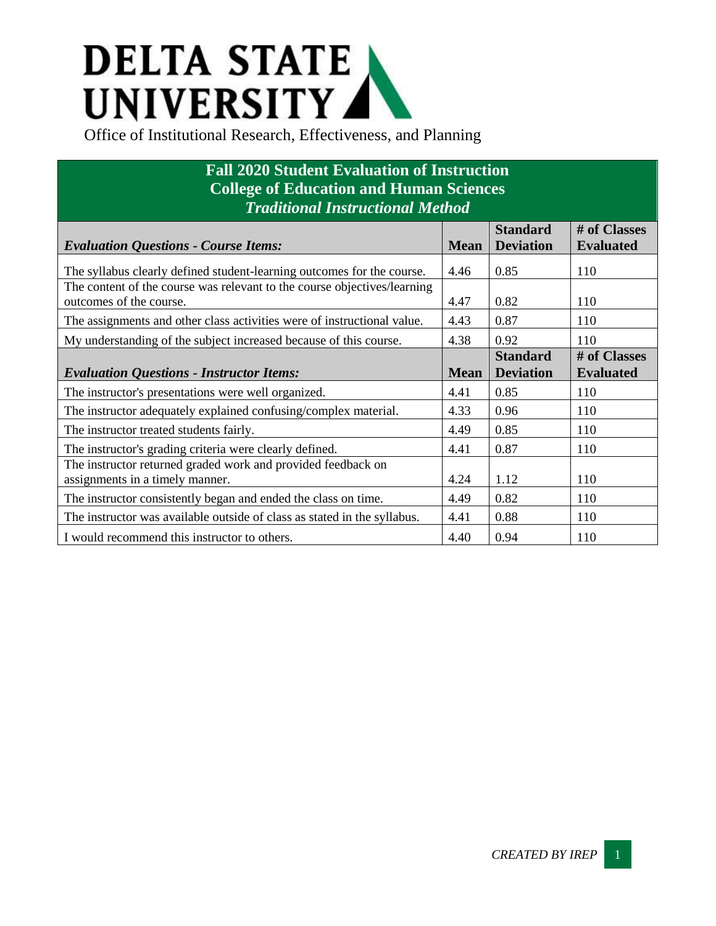## **DELTA STATE** UNIVERSITY

## **Fall 2020 Student Evaluation of Instruction College of Education and Human Sciences** *Traditional Instructional Method*

|                                                                          |             | <b>Standard</b>  | # of Classes     |
|--------------------------------------------------------------------------|-------------|------------------|------------------|
| <b>Evaluation Questions - Course Items:</b>                              | <b>Mean</b> | <b>Deviation</b> | <b>Evaluated</b> |
| The syllabus clearly defined student-learning outcomes for the course.   | 4.46        | 0.85             | 110              |
| The content of the course was relevant to the course objectives/learning |             |                  |                  |
| outcomes of the course.                                                  | 4.47        | 0.82             | 110              |
| The assignments and other class activities were of instructional value.  | 4.43        | 0.87             | 110              |
| My understanding of the subject increased because of this course.        | 4.38        | 0.92             | 110              |
|                                                                          |             | <b>Standard</b>  | # of Classes     |
| <b>Evaluation Questions - Instructor Items:</b>                          | <b>Mean</b> | <b>Deviation</b> | <b>Evaluated</b> |
| The instructor's presentations were well organized.                      | 4.41        | 0.85             | 110              |
| The instructor adequately explained confusing/complex material.          | 4.33        | 0.96             | 110              |
| The instructor treated students fairly.                                  | 4.49        | 0.85             | 110              |
| The instructor's grading criteria were clearly defined.                  | 4.41        | 0.87             | 110              |
| The instructor returned graded work and provided feedback on             |             |                  |                  |
| assignments in a timely manner.                                          | 4.24        | 1.12             | 110              |
| The instructor consistently began and ended the class on time.           | 4.49        | 0.82             | 110              |
| The instructor was available outside of class as stated in the syllabus. | 4.41        | 0.88             | 110              |
| I would recommend this instructor to others.                             | 4.40        | 0.94             | 110              |